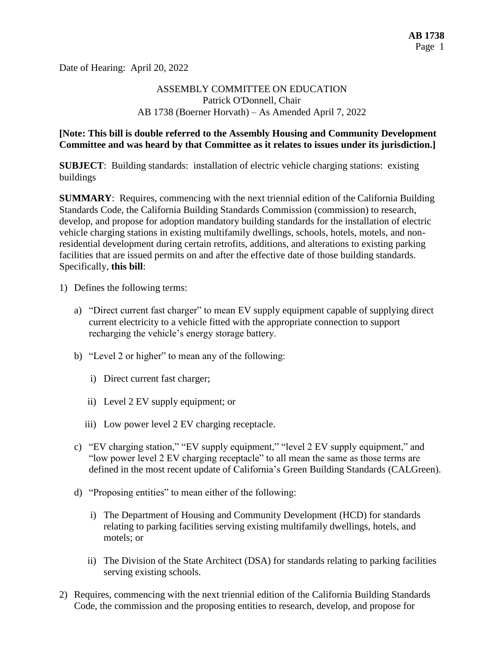Date of Hearing: April 20, 2022

## ASSEMBLY COMMITTEE ON EDUCATION Patrick O'Donnell, Chair AB 1738 (Boerner Horvath) – As Amended April 7, 2022

#### **[Note: This bill is double referred to the Assembly Housing and Community Development Committee and was heard by that Committee as it relates to issues under its jurisdiction.]**

**SUBJECT**: Building standards: installation of electric vehicle charging stations: existing buildings

**SUMMARY**: Requires, commencing with the next triennial edition of the California Building Standards Code, the California Building Standards Commission (commission) to research, develop, and propose for adoption mandatory building standards for the installation of electric vehicle charging stations in existing multifamily dwellings, schools, hotels, motels, and nonresidential development during certain retrofits, additions, and alterations to existing parking facilities that are issued permits on and after the effective date of those building standards. Specifically, **this bill**:

- 1) Defines the following terms:
	- a) "Direct current fast charger" to mean EV supply equipment capable of supplying direct current electricity to a vehicle fitted with the appropriate connection to support recharging the vehicle's energy storage battery.
	- b) "Level 2 or higher" to mean any of the following:
		- i) Direct current fast charger;
		- ii) Level 2 EV supply equipment; or
		- iii) Low power level 2 EV charging receptacle.
	- c) "EV charging station," "EV supply equipment," "level 2 EV supply equipment," and "low power level 2 EV charging receptacle" to all mean the same as those terms are defined in the most recent update of California's Green Building Standards (CALGreen).
	- d) "Proposing entities" to mean either of the following:
		- i) The Department of Housing and Community Development (HCD) for standards relating to parking facilities serving existing multifamily dwellings, hotels, and motels; or
		- ii) The Division of the State Architect (DSA) for standards relating to parking facilities serving existing schools.
- 2) Requires, commencing with the next triennial edition of the California Building Standards Code, the commission and the proposing entities to research, develop, and propose for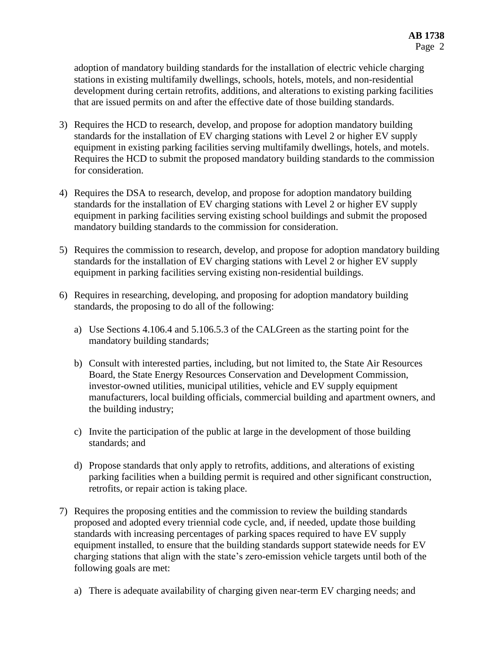adoption of mandatory building standards for the installation of electric vehicle charging stations in existing multifamily dwellings, schools, hotels, motels, and non-residential development during certain retrofits, additions, and alterations to existing parking facilities that are issued permits on and after the effective date of those building standards.

- 3) Requires the HCD to research, develop, and propose for adoption mandatory building standards for the installation of EV charging stations with Level 2 or higher EV supply equipment in existing parking facilities serving multifamily dwellings, hotels, and motels. Requires the HCD to submit the proposed mandatory building standards to the commission for consideration.
- 4) Requires the DSA to research, develop, and propose for adoption mandatory building standards for the installation of EV charging stations with Level 2 or higher EV supply equipment in parking facilities serving existing school buildings and submit the proposed mandatory building standards to the commission for consideration.
- 5) Requires the commission to research, develop, and propose for adoption mandatory building standards for the installation of EV charging stations with Level 2 or higher EV supply equipment in parking facilities serving existing non-residential buildings.
- 6) Requires in researching, developing, and proposing for adoption mandatory building standards, the proposing to do all of the following:
	- a) Use Sections 4.106.4 and 5.106.5.3 of the CALGreen as the starting point for the mandatory building standards;
	- b) Consult with interested parties, including, but not limited to, the State Air Resources Board, the State Energy Resources Conservation and Development Commission, investor-owned utilities, municipal utilities, vehicle and EV supply equipment manufacturers, local building officials, commercial building and apartment owners, and the building industry;
	- c) Invite the participation of the public at large in the development of those building standards; and
	- d) Propose standards that only apply to retrofits, additions, and alterations of existing parking facilities when a building permit is required and other significant construction, retrofits, or repair action is taking place.
- 7) Requires the proposing entities and the commission to review the building standards proposed and adopted every triennial code cycle, and, if needed, update those building standards with increasing percentages of parking spaces required to have EV supply equipment installed, to ensure that the building standards support statewide needs for EV charging stations that align with the state's zero-emission vehicle targets until both of the following goals are met:
	- a) There is adequate availability of charging given near-term EV charging needs; and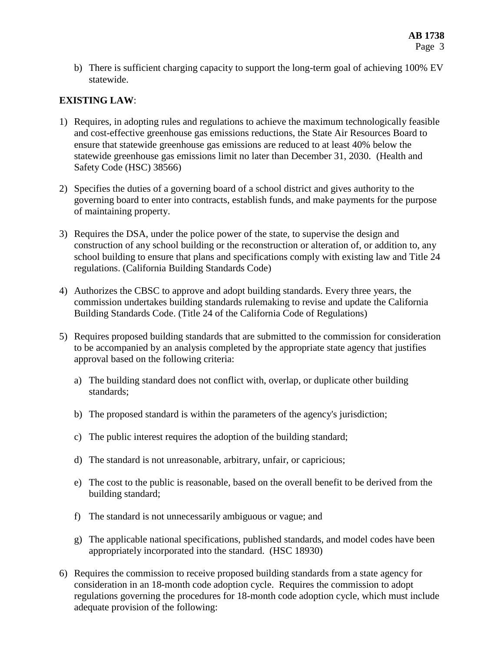b) There is sufficient charging capacity to support the long-term goal of achieving 100% EV statewide.

# **EXISTING LAW**:

- 1) Requires, in adopting rules and regulations to achieve the maximum technologically feasible and cost-effective greenhouse gas emissions reductions, the State Air Resources Board to ensure that statewide greenhouse gas emissions are reduced to at least 40% below the statewide greenhouse gas emissions limit no later than December 31, 2030. (Health and Safety Code (HSC) 38566)
- 2) Specifies the duties of a governing board of a school district and gives authority to the governing board to enter into contracts, establish funds, and make payments for the purpose of maintaining property.
- 3) Requires the DSA, under the police power of the state, to supervise the design and construction of any school building or the reconstruction or alteration of, or addition to, any school building to ensure that plans and specifications comply with existing law and Title 24 regulations. (California Building Standards Code)
- 4) Authorizes the CBSC to approve and adopt building standards. Every three years, the commission undertakes building standards rulemaking to revise and update the California Building Standards Code. (Title 24 of the California Code of Regulations)
- 5) Requires proposed building standards that are submitted to the commission for consideration to be accompanied by an analysis completed by the appropriate state agency that justifies approval based on the following criteria:
	- a) The building standard does not conflict with, overlap, or duplicate other building standards;
	- b) The proposed standard is within the parameters of the agency's jurisdiction;
	- c) The public interest requires the adoption of the building standard;
	- d) The standard is not unreasonable, arbitrary, unfair, or capricious;
	- e) The cost to the public is reasonable, based on the overall benefit to be derived from the building standard;
	- f) The standard is not unnecessarily ambiguous or vague; and
	- g) The applicable national specifications, published standards, and model codes have been appropriately incorporated into the standard. (HSC 18930)
- 6) Requires the commission to receive proposed building standards from a state agency for consideration in an 18-month code adoption cycle. Requires the commission to adopt regulations governing the procedures for 18-month code adoption cycle, which must include adequate provision of the following: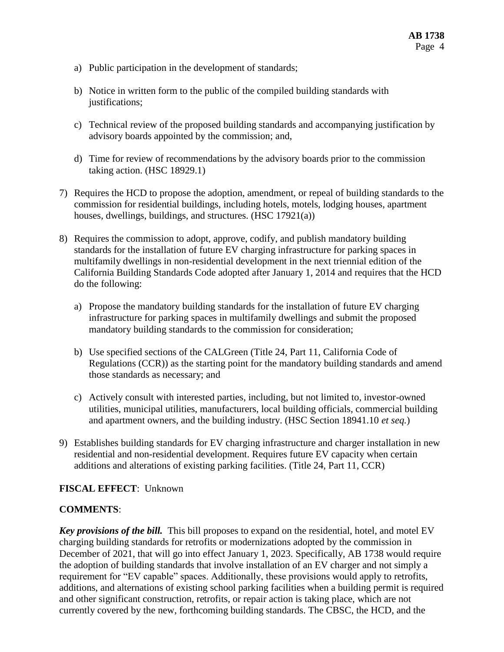- a) Public participation in the development of standards;
- b) Notice in written form to the public of the compiled building standards with justifications;
- c) Technical review of the proposed building standards and accompanying justification by advisory boards appointed by the commission; and,
- d) Time for review of recommendations by the advisory boards prior to the commission taking action. (HSC 18929.1)
- 7) Requires the HCD to propose the adoption, amendment, or repeal of building standards to the commission for residential buildings, including hotels, motels, lodging houses, apartment houses, dwellings, buildings, and structures. (HSC 17921(a))
- 8) Requires the commission to adopt, approve, codify, and publish mandatory building standards for the installation of future EV charging infrastructure for parking spaces in multifamily dwellings in non-residential development in the next triennial edition of the California Building Standards Code adopted after January 1, 2014 and requires that the HCD do the following:
	- a) Propose the mandatory building standards for the installation of future EV charging infrastructure for parking spaces in multifamily dwellings and submit the proposed mandatory building standards to the commission for consideration;
	- b) Use specified sections of the CALGreen (Title 24, Part 11, California Code of Regulations (CCR)) as the starting point for the mandatory building standards and amend those standards as necessary; and
	- c) Actively consult with interested parties, including, but not limited to, investor-owned utilities, municipal utilities, manufacturers, local building officials, commercial building and apartment owners, and the building industry. (HSC Section 18941.10 *et seq.*)
- 9) Establishes building standards for EV charging infrastructure and charger installation in new residential and non-residential development. Requires future EV capacity when certain additions and alterations of existing parking facilities. (Title 24, Part 11, CCR)

## **FISCAL EFFECT**: Unknown

#### **COMMENTS**:

*Key provisions of the bill.* This bill proposes to expand on the residential, hotel, and motel EV charging building standards for retrofits or modernizations adopted by the commission in December of 2021, that will go into effect January 1, 2023. Specifically, AB 1738 would require the adoption of building standards that involve installation of an EV charger and not simply a requirement for "EV capable" spaces. Additionally, these provisions would apply to retrofits, additions, and alternations of existing school parking facilities when a building permit is required and other significant construction, retrofits, or repair action is taking place, which are not currently covered by the new, forthcoming building standards. The CBSC, the HCD, and the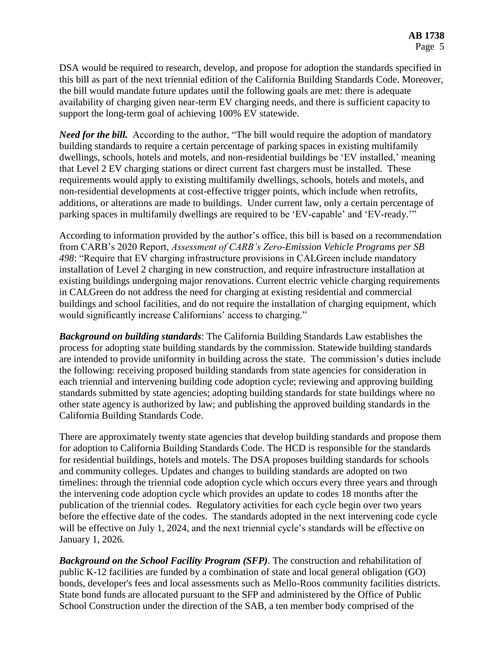DSA would be required to research, develop, and propose for adoption the standards specified in this bill as part of the next triennial edition of the California Building Standards Code. Moreover, the bill would mandate future updates until the following goals are met: there is adequate availability of charging given near-term EV charging needs, and there is sufficient capacity to support the long-term goal of achieving 100% EV statewide.

*Need for the bill.* According to the author, "The bill would require the adoption of mandatory building standards to require a certain percentage of parking spaces in existing multifamily dwellings, schools, hotels and motels, and non-residential buildings be 'EV installed,' meaning that Level 2 EV charging stations or direct current fast chargers must be installed. These requirements would apply to existing multifamily dwellings, schools, hotels and motels, and non-residential developments at cost-effective trigger points, which include when retrofits, additions, or alterations are made to buildings. Under current law, only a certain percentage of parking spaces in multifamily dwellings are required to be 'EV-capable' and 'EV-ready.'"

According to information provided by the author's office, this bill is based on a recommendation from CARB's 2020 Report, *Assessment of CARB's Zero-Emission Vehicle Programs per SB 498*: "Require that EV charging infrastructure provisions in CALGreen include mandatory installation of Level 2 charging in new construction, and require infrastructure installation at existing buildings undergoing major renovations. Current electric vehicle charging requirements in CALGreen do not address the need for charging at existing residential and commercial buildings and school facilities, and do not require the installation of charging equipment, which would significantly increase Californians' access to charging."

*Background on building standards*: The California Building Standards Law establishes the process for adopting state building standards by the commission. Statewide building standards are intended to provide uniformity in building across the state. The commission's duties include the following: receiving proposed building standards from state agencies for consideration in each triennial and intervening building code adoption cycle; reviewing and approving building standards submitted by state agencies; adopting building standards for state buildings where no other state agency is authorized by law; and publishing the approved building standards in the California Building Standards Code.

There are approximately twenty state agencies that develop building standards and propose them for adoption to California Building Standards Code. The HCD is responsible for the standards for residential buildings, hotels and motels. The DSA proposes building standards for schools and community colleges. Updates and changes to building standards are adopted on two timelines: through the triennial code adoption cycle which occurs every three years and through the intervening code adoption cycle which provides an update to codes 18 months after the publication of the triennial codes. Regulatory activities for each cycle begin over two years before the effective date of the codes. The standards adopted in the next intervening code cycle will be effective on July 1, 2024, and the next triennial cycle's standards will be effective on January 1, 2026.

*Background on the School Facility Program (SFP)*. The construction and rehabilitation of public K-12 facilities are funded by a combination of state and local general obligation (GO) bonds, developer's fees and local assessments such as Mello-Roos community facilities districts. State bond funds are allocated pursuant to the SFP and administered by the Office of Public School Construction under the direction of the SAB, a ten member body comprised of the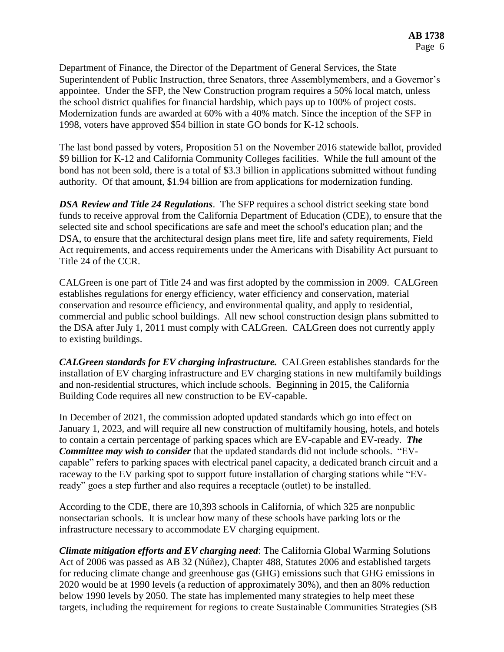Department of Finance, the Director of the Department of General Services, the State Superintendent of Public Instruction, three Senators, three Assemblymembers, and a Governor's appointee. Under the SFP, the New Construction program requires a 50% local match, unless the school district qualifies for financial hardship, which pays up to 100% of project costs. Modernization funds are awarded at 60% with a 40% match. Since the inception of the SFP in 1998, voters have approved \$54 billion in state GO bonds for K-12 schools.

The last bond passed by voters, Proposition 51 on the November 2016 statewide ballot, provided \$9 billion for K-12 and California Community Colleges facilities. While the full amount of the bond has not been sold, there is a total of \$3.3 billion in applications submitted without funding authority. Of that amount, \$1.94 billion are from applications for modernization funding.

*DSA Review and Title 24 Regulations*. The SFP requires a school district seeking state bond funds to receive approval from the California Department of Education (CDE), to ensure that the selected site and school specifications are safe and meet the school's education plan; and the DSA, to ensure that the architectural design plans meet fire, life and safety requirements, Field Act requirements, and access requirements under the Americans with Disability Act pursuant to Title 24 of the CCR.

CALGreen is one part of Title 24 and was first adopted by the commission in 2009. CALGreen establishes regulations for energy efficiency, water efficiency and conservation, material conservation and resource efficiency, and environmental quality, and apply to residential, commercial and public school buildings. All new school construction design plans submitted to the DSA after July 1, 2011 must comply with CALGreen. CALGreen does not currently apply to existing buildings.

*CALGreen standards for EV charging infrastructure.* CALGreen establishes standards for the installation of EV charging infrastructure and EV charging stations in new multifamily buildings and non-residential structures, which include schools. Beginning in 2015, the California Building Code requires all new construction to be EV-capable.

In December of 2021, the commission adopted updated standards which go into effect on January 1, 2023, and will require all new construction of multifamily housing, hotels, and hotels to contain a certain percentage of parking spaces which are EV-capable and EV-ready. *The Committee may wish to consider* that the updated standards did not include schools. "EVcapable" refers to parking spaces with electrical panel capacity, a dedicated branch circuit and a raceway to the EV parking spot to support future installation of charging stations while "EVready" goes a step further and also requires a receptacle (outlet) to be installed.

According to the CDE, there are 10,393 schools in California, of which 325 are nonpublic nonsectarian schools. It is unclear how many of these schools have parking lots or the infrastructure necessary to accommodate EV charging equipment.

*Climate mitigation efforts and EV charging need*: The California Global Warming Solutions Act of 2006 was passed as AB 32 (Núñez), Chapter 488, Statutes 2006 and established targets for reducing climate change and greenhouse gas (GHG) emissions such that GHG emissions in 2020 would be at 1990 levels (a reduction of approximately 30%), and then an 80% reduction below 1990 levels by 2050. The state has implemented many strategies to help meet these targets, including the requirement for regions to create Sustainable Communities Strategies (SB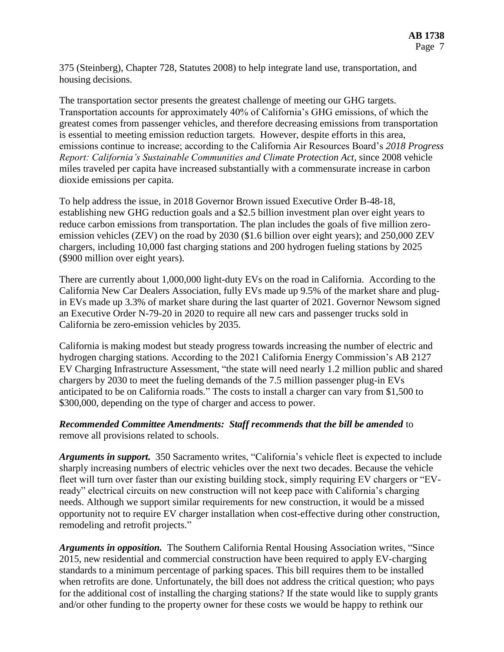375 (Steinberg), Chapter 728, Statutes 2008) to help integrate land use, transportation, and housing decisions.

The transportation sector presents the greatest challenge of meeting our GHG targets. Transportation accounts for approximately 40% of California's GHG emissions, of which the greatest comes from passenger vehicles, and therefore decreasing emissions from transportation is essential to meeting emission reduction targets. However, despite efforts in this area, emissions continue to increase; according to the California Air Resources Board's *2018 Progress Report: California's Sustainable Communities and Climate Protection Act*, since 2008 vehicle miles traveled per capita have increased substantially with a commensurate increase in carbon dioxide emissions per capita.

To help address the issue, in 2018 Governor Brown issued Executive Order B-48-18, establishing new GHG reduction goals and a \$2.5 billion investment plan over eight years to reduce carbon emissions from transportation. The plan includes the goals of five million zeroemission vehicles (ZEV) on the road by 2030 (\$1.6 billion over eight years); and 250,000 ZEV chargers, including 10,000 fast charging stations and 200 hydrogen fueling stations by 2025 (\$900 million over eight years).

There are currently about 1,000,000 light-duty EVs on the road in California. According to the California New Car Dealers Association, fully EVs made up 9.5% of the market share and plugin EVs made up 3.3% of market share during the last quarter of 2021. Governor Newsom signed an Executive Order N-79-20 in 2020 to require all new cars and passenger trucks sold in California be zero-emission vehicles by 2035.

California is making modest but steady progress towards increasing the number of electric and hydrogen charging stations. According to the 2021 California Energy Commission's AB 2127 EV Charging Infrastructure Assessment, "the state will need nearly 1.2 million public and shared chargers by 2030 to meet the fueling demands of the 7.5 million passenger plug-in EVs anticipated to be on California roads." The costs to install a charger can vary from \$1,500 to \$300,000, depending on the type of charger and access to power.

### *Recommended Committee Amendments: Staff recommends that the bill be amended* to remove all provisions related to schools.

*Arguments in support.* 350 Sacramento writes, "California's vehicle fleet is expected to include sharply increasing numbers of electric vehicles over the next two decades. Because the vehicle fleet will turn over faster than our existing building stock, simply requiring EV chargers or "EVready" electrical circuits on new construction will not keep pace with California's charging needs. Although we support similar requirements for new construction, it would be a missed opportunity not to require EV charger installation when cost-effective during other construction, remodeling and retrofit projects."

*Arguments in opposition.* The Southern California Rental Housing Association writes, "Since 2015, new residential and commercial construction have been required to apply EV-charging standards to a minimum percentage of parking spaces. This bill requires them to be installed when retrofits are done. Unfortunately, the bill does not address the critical question; who pays for the additional cost of installing the charging stations? If the state would like to supply grants and/or other funding to the property owner for these costs we would be happy to rethink our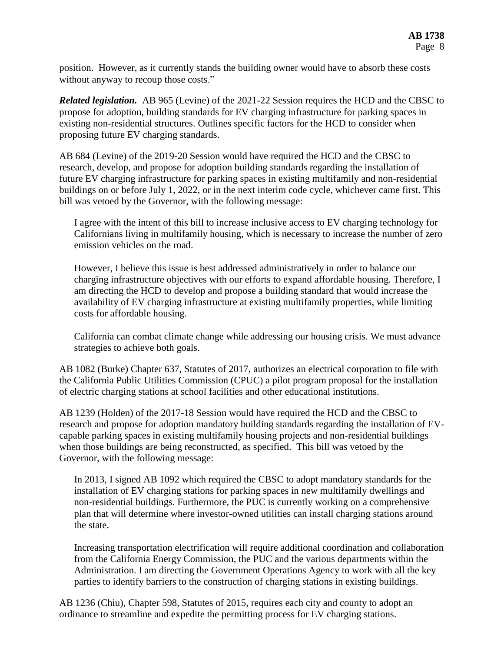position. However, as it currently stands the building owner would have to absorb these costs without anyway to recoup those costs."

*Related legislation.* AB 965 (Levine) of the 2021-22 Session requires the HCD and the CBSC to propose for adoption, building standards for EV charging infrastructure for parking spaces in existing non-residential structures. Outlines specific factors for the HCD to consider when proposing future EV charging standards.

AB 684 (Levine) of the 2019-20 Session would have required the HCD and the CBSC to research, develop, and propose for adoption building standards regarding the installation of future EV charging infrastructure for parking spaces in existing multifamily and non-residential buildings on or before July 1, 2022, or in the next interim code cycle, whichever came first. This bill was vetoed by the Governor, with the following message:

I agree with the intent of this bill to increase inclusive access to EV charging technology for Californians living in multifamily housing, which is necessary to increase the number of zero emission vehicles on the road.

However, I believe this issue is best addressed administratively in order to balance our charging infrastructure objectives with our efforts to expand affordable housing. Therefore, I am directing the HCD to develop and propose a building standard that would increase the availability of EV charging infrastructure at existing multifamily properties, while limiting costs for affordable housing.

California can combat climate change while addressing our housing crisis. We must advance strategies to achieve both goals.

AB 1082 (Burke) Chapter 637, Statutes of 2017, authorizes an electrical corporation to file with the California Public Utilities Commission (CPUC) a pilot program proposal for the installation of electric charging stations at school facilities and other educational institutions.

AB 1239 (Holden) of the 2017-18 Session would have required the HCD and the CBSC to research and propose for adoption mandatory building standards regarding the installation of EVcapable parking spaces in existing multifamily housing projects and non-residential buildings when those buildings are being reconstructed, as specified. This bill was vetoed by the Governor, with the following message:

In 2013, I signed AB 1092 which required the CBSC to adopt mandatory standards for the installation of EV charging stations for parking spaces in new multifamily dwellings and non-residential buildings. Furthermore, the PUC is currently working on a comprehensive plan that will determine where investor-owned utilities can install charging stations around the state.

Increasing transportation electrification will require additional coordination and collaboration from the California Energy Commission, the PUC and the various departments within the Administration. I am directing the Government Operations Agency to work with all the key parties to identify barriers to the construction of charging stations in existing buildings.

AB 1236 (Chiu), Chapter 598, Statutes of 2015, requires each city and county to adopt an ordinance to streamline and expedite the permitting process for EV charging stations.